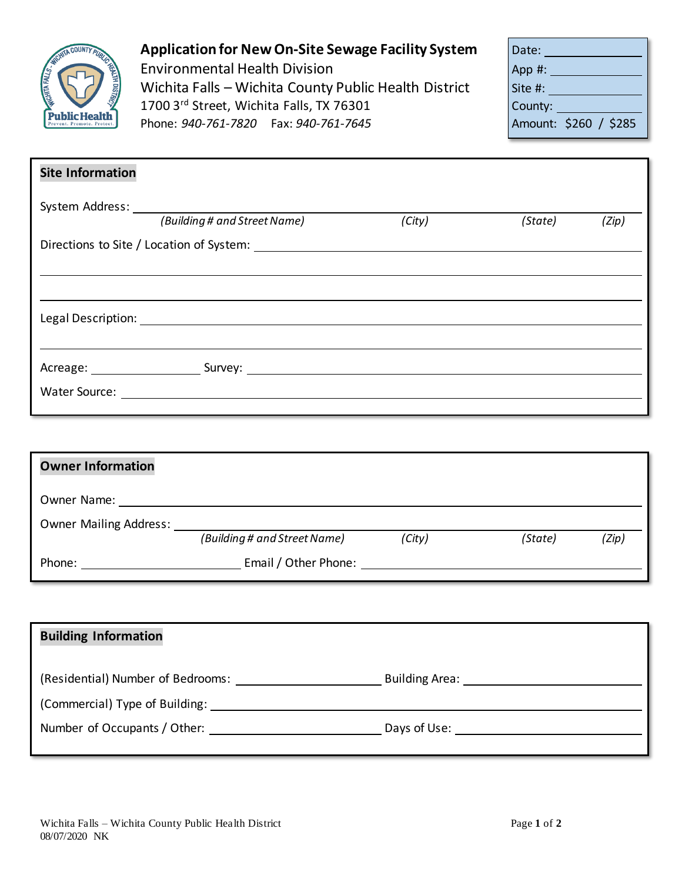

## **Application for New On-Site Sewage Facility System**

Environmental Health Division Wichita Falls - Wichita County Public Health District 1700 3rd Street, Wichita Falls, TX 76301 Phone: 940-761-7820 Fax: 940-761-7645

| Date:                 |  |
|-----------------------|--|
| App#:                 |  |
| Site #:               |  |
| County:               |  |
| Amount: \$260 / \$285 |  |

| <b>Site Information</b> |                              |        |         |       |
|-------------------------|------------------------------|--------|---------|-------|
|                         | (Building # and Street Name) | (City) | (State) | (Zip) |
|                         |                              |        |         |       |
|                         |                              |        |         |       |
|                         |                              |        |         |       |
|                         |                              |        |         |       |
|                         |                              |        |         |       |

| <b>Owner Information</b>      |                              |        |         |       |
|-------------------------------|------------------------------|--------|---------|-------|
| Owner Name:                   |                              |        |         |       |
| <b>Owner Mailing Address:</b> |                              |        |         |       |
|                               | (Building # and Street Name) | (City) | (State) | (Zip) |
| Phone:                        | Email / Other Phone:         |        |         |       |

| <b>Building Information</b>       |                                                                                                                                                                                                                                |
|-----------------------------------|--------------------------------------------------------------------------------------------------------------------------------------------------------------------------------------------------------------------------------|
| (Residential) Number of Bedrooms: | <b>Building Area:</b>                                                                                                                                                                                                          |
|                                   |                                                                                                                                                                                                                                |
| Number of Occupants / Other:      | Days of Use: the control of the control of the control of the control of the control of the control of the control of the control of the control of the control of the control of the control of the control of the control of |